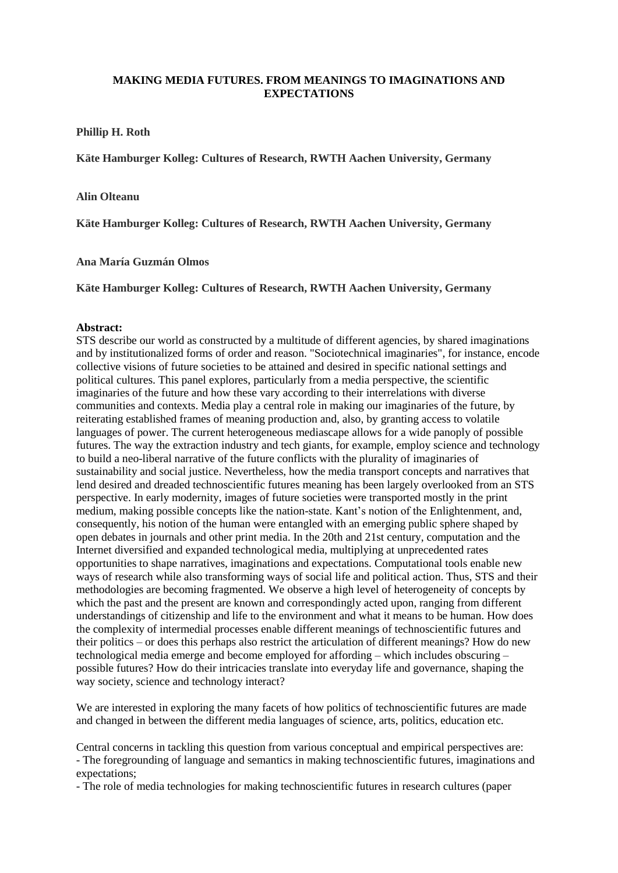## **MAKING MEDIA FUTURES. FROM MEANINGS TO IMAGINATIONS AND EXPECTATIONS**

**Phillip H. Roth**

**Käte Hamburger Kolleg: Cultures of Research, RWTH Aachen University, Germany**

## **Alin Olteanu**

**Käte Hamburger Kolleg: Cultures of Research, RWTH Aachen University, Germany**

**Ana María Guzmán Olmos** 

**Käte Hamburger Kolleg: Cultures of Research, RWTH Aachen University, Germany**

## **Abstract:**

STS describe our world as constructed by a multitude of different agencies, by shared imaginations and by institutionalized forms of order and reason. "Sociotechnical imaginaries", for instance, encode collective visions of future societies to be attained and desired in specific national settings and political cultures. This panel explores, particularly from a media perspective, the scientific imaginaries of the future and how these vary according to their interrelations with diverse communities and contexts. Media play a central role in making our imaginaries of the future, by reiterating established frames of meaning production and, also, by granting access to volatile languages of power. The current heterogeneous mediascape allows for a wide panoply of possible futures. The way the extraction industry and tech giants, for example, employ science and technology to build a neo-liberal narrative of the future conflicts with the plurality of imaginaries of sustainability and social justice. Nevertheless, how the media transport concepts and narratives that lend desired and dreaded technoscientific futures meaning has been largely overlooked from an STS perspective. In early modernity, images of future societies were transported mostly in the print medium, making possible concepts like the nation-state. Kant's notion of the Enlightenment, and, consequently, his notion of the human were entangled with an emerging public sphere shaped by open debates in journals and other print media. In the 20th and 21st century, computation and the Internet diversified and expanded technological media, multiplying at unprecedented rates opportunities to shape narratives, imaginations and expectations. Computational tools enable new ways of research while also transforming ways of social life and political action. Thus, STS and their methodologies are becoming fragmented. We observe a high level of heterogeneity of concepts by which the past and the present are known and correspondingly acted upon, ranging from different understandings of citizenship and life to the environment and what it means to be human. How does the complexity of intermedial processes enable different meanings of technoscientific futures and their politics – or does this perhaps also restrict the articulation of different meanings? How do new technological media emerge and become employed for affording – which includes obscuring – possible futures? How do their intricacies translate into everyday life and governance, shaping the way society, science and technology interact?

We are interested in exploring the many facets of how politics of technoscientific futures are made and changed in between the different media languages of science, arts, politics, education etc.

Central concerns in tackling this question from various conceptual and empirical perspectives are: - The foregrounding of language and semantics in making technoscientific futures, imaginations and expectations;

- The role of media technologies for making technoscientific futures in research cultures (paper